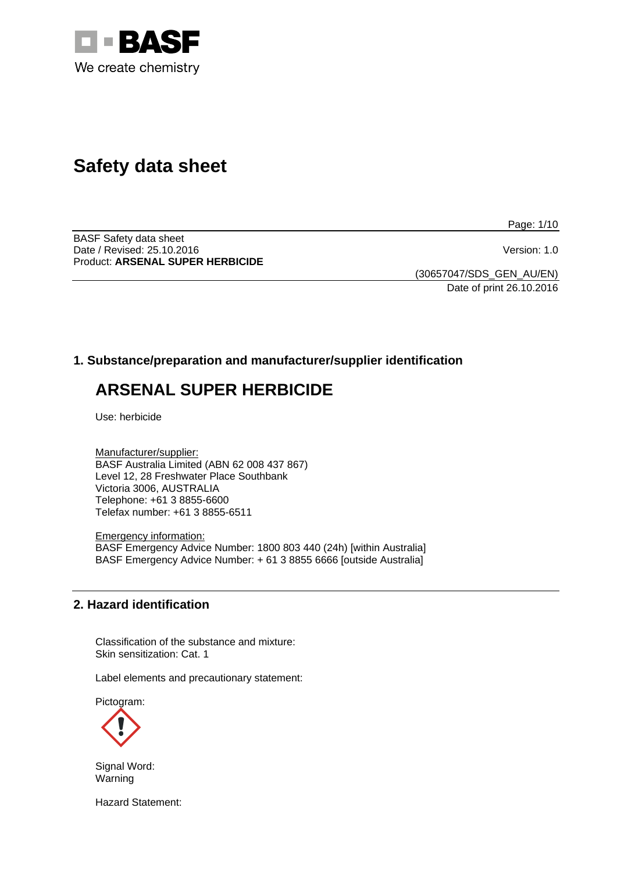

# **Safety data sheet**

Page: 1/10

BASF Safety data sheet Date / Revised: 25.10.2016 Version: 1.0 Product: **ARSENAL SUPER HERBICIDE**

(30657047/SDS\_GEN\_AU/EN) Date of print 26.10.2016

# **1. Substance/preparation and manufacturer/supplier identification**

# **ARSENAL SUPER HERBICIDE**

Use: herbicide

Manufacturer/supplier: BASF Australia Limited (ABN 62 008 437 867) Level 12, 28 Freshwater Place Southbank Victoria 3006, AUSTRALIA Telephone: +61 3 8855-6600 Telefax number: +61 3 8855-6511

Emergency information: BASF Emergency Advice Number: 1800 803 440 (24h) [within Australia] BASF Emergency Advice Number: + 61 3 8855 6666 [outside Australia]

# **2. Hazard identification**

Classification of the substance and mixture: Skin sensitization: Cat. 1

Label elements and precautionary statement:

Pictogram:



Signal Word: Warning

Hazard Statement: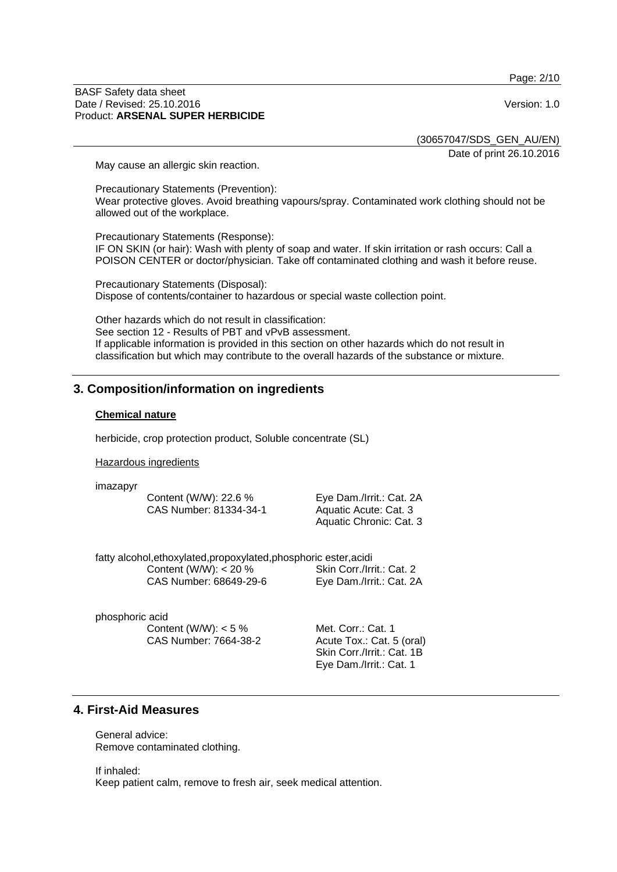Page: 2/10

#### BASF Safety data sheet Date / Revised: 25.10.2016 Version: 1.0 Product: **ARSENAL SUPER HERBICIDE**

(30657047/SDS\_GEN\_AU/EN)

Date of print 26.10.2016

May cause an allergic skin reaction.

Precautionary Statements (Prevention): Wear protective gloves. Avoid breathing vapours/spray. Contaminated work clothing should not be allowed out of the workplace.

Precautionary Statements (Response): IF ON SKIN (or hair): Wash with plenty of soap and water. If skin irritation or rash occurs: Call a POISON CENTER or doctor/physician. Take off contaminated clothing and wash it before reuse.

Precautionary Statements (Disposal): Dispose of contents/container to hazardous or special waste collection point.

Other hazards which do not result in classification: See section 12 - Results of PBT and vPvB assessment. If applicable information is provided in this section on other hazards which do not result in classification but which may contribute to the overall hazards of the substance or mixture.

# **3. Composition/information on ingredients**

#### **Chemical nature**

herbicide, crop protection product, Soluble concentrate (SL)

Hazardous ingredients

imazapyr

Content (W/W): 22.6 % CAS Number: 81334-34-1 Eye Dam./Irrit.: Cat. 2A Aquatic Acute: Cat. 3 Aquatic Chronic: Cat. 3

fatty alcohol,ethoxylated,propoxylated,phosphoric ester,acidi Content (W/W): < 20 % CAS Number: 68649-29-6 Skin Corr./Irrit.: Cat. 2 Eye Dam./Irrit.: Cat. 2A

phosphoric acid Content (W/W): < 5 % CAS Number: 7664-38-2

Met. Corr.: Cat. 1 Acute Tox.: Cat. 5 (oral) Skin Corr./Irrit.: Cat. 1B Eye Dam./Irrit.: Cat. 1

# **4. First-Aid Measures**

General advice: Remove contaminated clothing.

If inhaled: Keep patient calm, remove to fresh air, seek medical attention.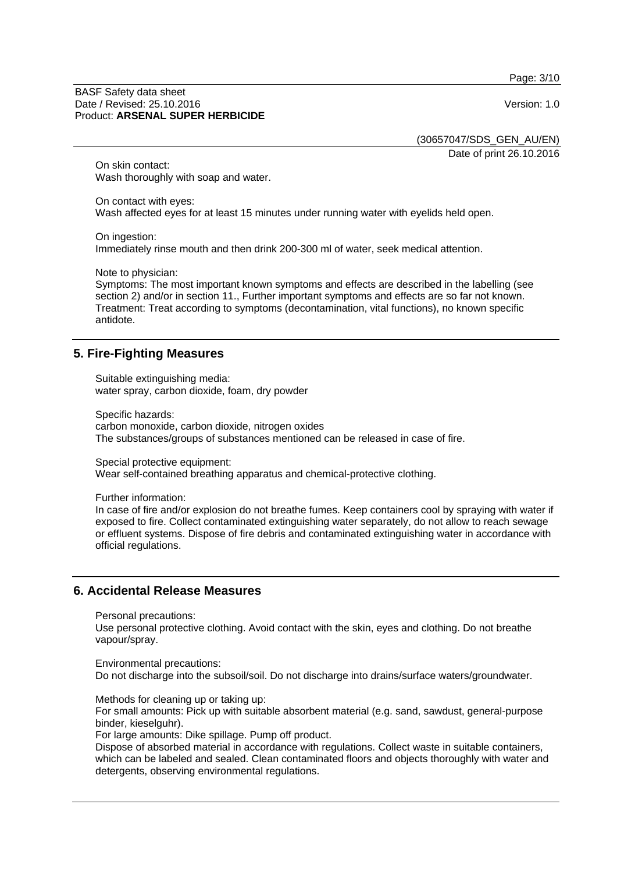Page: 3/10

#### BASF Safety data sheet Date / Revised: 25.10.2016 Version: 1.0 Product: **ARSENAL SUPER HERBICIDE**

(30657047/SDS\_GEN\_AU/EN)

Date of print 26.10.2016

On skin contact: Wash thoroughly with soap and water.

On contact with eyes: Wash affected eyes for at least 15 minutes under running water with eyelids held open.

On ingestion:

Immediately rinse mouth and then drink 200-300 ml of water, seek medical attention.

Note to physician:

Symptoms: The most important known symptoms and effects are described in the labelling (see section 2) and/or in section 11.. Further important symptoms and effects are so far not known. Treatment: Treat according to symptoms (decontamination, vital functions), no known specific antidote.

# **5. Fire-Fighting Measures**

Suitable extinguishing media: water spray, carbon dioxide, foam, dry powder

Specific hazards:

carbon monoxide, carbon dioxide, nitrogen oxides The substances/groups of substances mentioned can be released in case of fire.

Special protective equipment:

Wear self-contained breathing apparatus and chemical-protective clothing.

Further information:

In case of fire and/or explosion do not breathe fumes. Keep containers cool by spraying with water if exposed to fire. Collect contaminated extinguishing water separately, do not allow to reach sewage or effluent systems. Dispose of fire debris and contaminated extinguishing water in accordance with official regulations.

# **6. Accidental Release Measures**

Personal precautions:

Use personal protective clothing. Avoid contact with the skin, eyes and clothing. Do not breathe vapour/spray.

Environmental precautions:

Do not discharge into the subsoil/soil. Do not discharge into drains/surface waters/groundwater.

Methods for cleaning up or taking up:

For small amounts: Pick up with suitable absorbent material (e.g. sand, sawdust, general-purpose binder, kieselguhr).

For large amounts: Dike spillage. Pump off product.

Dispose of absorbed material in accordance with regulations. Collect waste in suitable containers, which can be labeled and sealed. Clean contaminated floors and objects thoroughly with water and detergents, observing environmental regulations.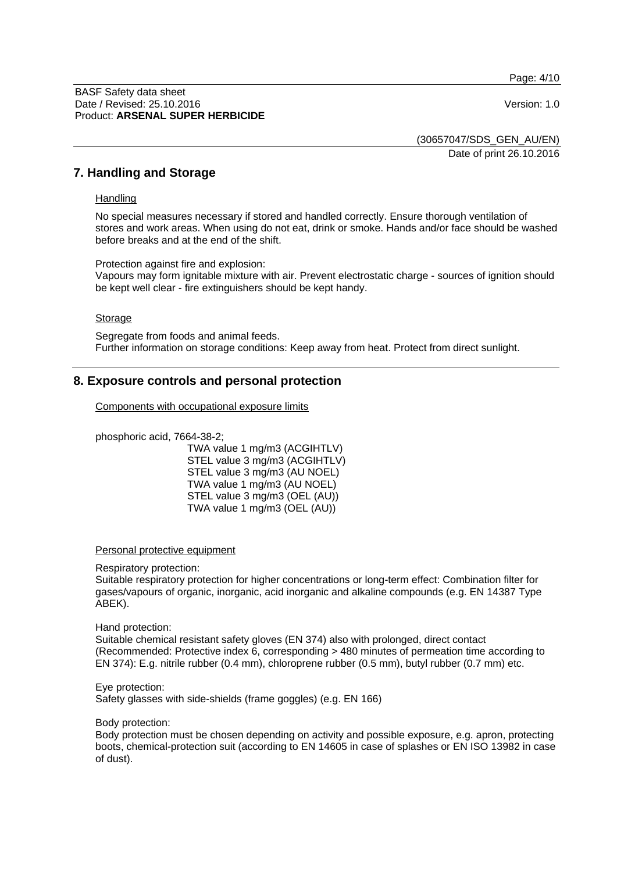Page: 4/10

#### BASF Safety data sheet Date / Revised: 25.10.2016 Version: 1.0 Product: **ARSENAL SUPER HERBICIDE**

(30657047/SDS\_GEN\_AU/EN)

Date of print 26.10.2016

## **7. Handling and Storage**

## **Handling**

No special measures necessary if stored and handled correctly. Ensure thorough ventilation of stores and work areas. When using do not eat, drink or smoke. Hands and/or face should be washed before breaks and at the end of the shift.

Protection against fire and explosion:

Vapours may form ignitable mixture with air. Prevent electrostatic charge - sources of ignition should be kept well clear - fire extinguishers should be kept handy.

#### Storage

Segregate from foods and animal feeds. Further information on storage conditions: Keep away from heat. Protect from direct sunlight.

# **8. Exposure controls and personal protection**

Components with occupational exposure limits

phosphoric acid, 7664-38-2;

TWA value 1 mg/m3 (ACGIHTLV) STEL value 3 mg/m3 (ACGIHTLV) STEL value 3 mg/m3 (AU NOEL) TWA value 1 mg/m3 (AU NOEL) STEL value 3 mg/m3 (OEL (AU)) TWA value 1 mg/m3 (OEL (AU))

#### Personal protective equipment

Respiratory protection:

Suitable respiratory protection for higher concentrations or long-term effect: Combination filter for gases/vapours of organic, inorganic, acid inorganic and alkaline compounds (e.g. EN 14387 Type ABEK).

#### Hand protection:

Suitable chemical resistant safety gloves (EN 374) also with prolonged, direct contact (Recommended: Protective index 6, corresponding > 480 minutes of permeation time according to EN 374): E.g. nitrile rubber (0.4 mm), chloroprene rubber (0.5 mm), butyl rubber (0.7 mm) etc.

#### Eye protection:

Safety glasses with side-shields (frame goggles) (e.g. EN 166)

#### Body protection:

Body protection must be chosen depending on activity and possible exposure, e.g. apron, protecting boots, chemical-protection suit (according to EN 14605 in case of splashes or EN ISO 13982 in case of dust).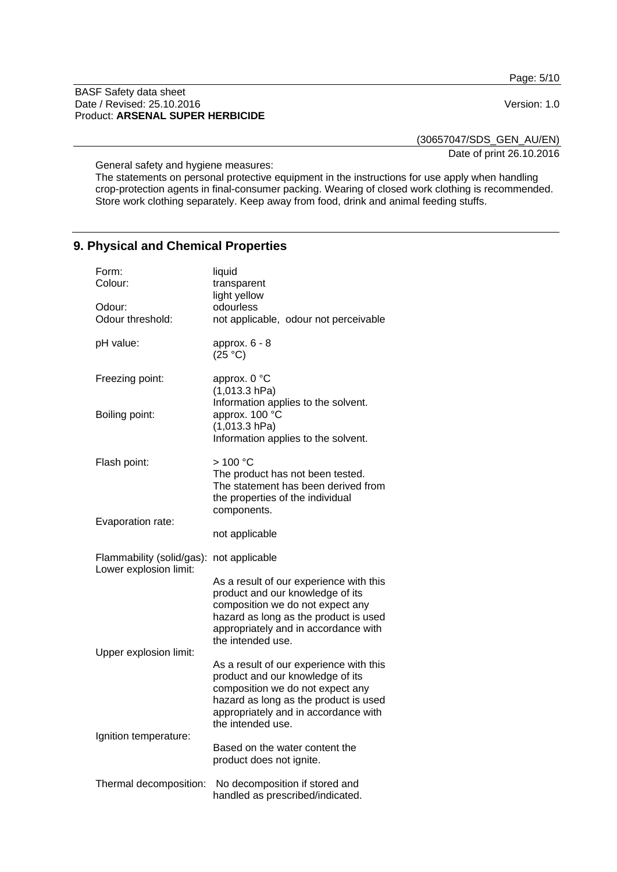Page: 5/10

#### BASF Safety data sheet Date / Revised: 25.10.2016 Version: 1.0 Product: **ARSENAL SUPER HERBICIDE**

(30657047/SDS\_GEN\_AU/EN)

Date of print 26.10.2016

General safety and hygiene measures:

The statements on personal protective equipment in the instructions for use apply when handling crop-protection agents in final-consumer packing. Wearing of closed work clothing is recommended. Store work clothing separately. Keep away from food, drink and animal feeding stuffs.

# **9. Physical and Chemical Properties**

| Form:<br>Colour:                                    | liquid<br>transparent<br>light yellow                                                                                                                                                                                 |
|-----------------------------------------------------|-----------------------------------------------------------------------------------------------------------------------------------------------------------------------------------------------------------------------|
| Odour:                                              | odourless                                                                                                                                                                                                             |
| Odour threshold:                                    | not applicable, odour not perceivable                                                                                                                                                                                 |
| pH value:                                           | approx. $6 - 8$<br>(25 °C)                                                                                                                                                                                            |
| Freezing point:                                     | approx. 0 °C<br>$(1,013.3)$ hPa)<br>Information applies to the solvent.                                                                                                                                               |
| Boiling point:                                      | approx. 100 °C<br>$(1,013.3)$ hPa)<br>Information applies to the solvent.                                                                                                                                             |
| Flash point:                                        | >100 °C<br>The product has not been tested.<br>The statement has been derived from<br>the properties of the individual<br>components.                                                                                 |
| Evaporation rate:                                   | not applicable                                                                                                                                                                                                        |
| Flammability (solid/gas):<br>Lower explosion limit: | not applicable                                                                                                                                                                                                        |
| Upper explosion limit:                              | As a result of our experience with this<br>product and our knowledge of its<br>composition we do not expect any<br>hazard as long as the product is used<br>appropriately and in accordance with<br>the intended use. |
|                                                     | As a result of our experience with this<br>product and our knowledge of its<br>composition we do not expect any<br>hazard as long as the product is used<br>appropriately and in accordance with<br>the intended use. |
| Ignition temperature:                               | Based on the water content the<br>product does not ignite.                                                                                                                                                            |
| Thermal decomposition:                              | No decomposition if stored and<br>handled as prescribed/indicated.                                                                                                                                                    |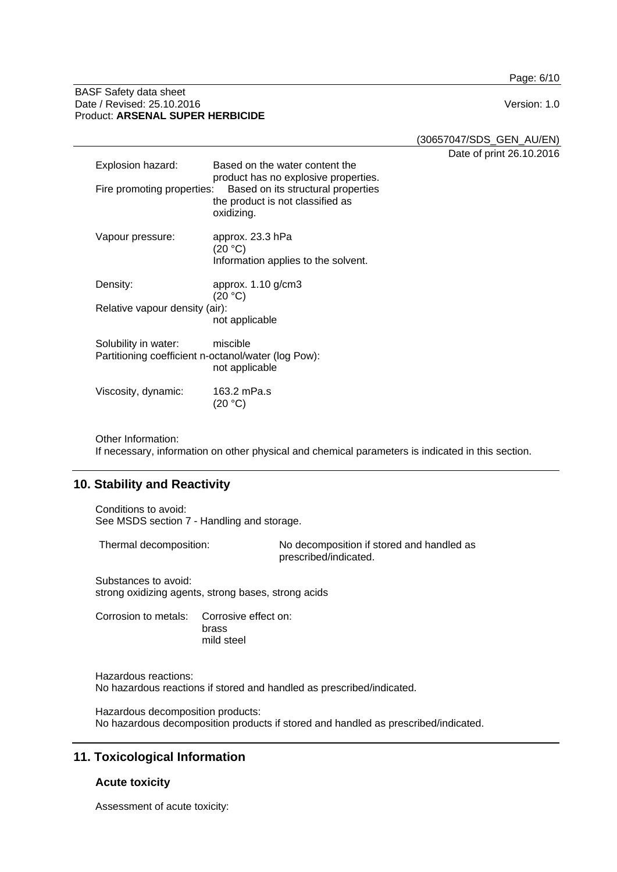Page: 6/10

#### BASF Safety data sheet Date / Revised: 25.10.2016 Version: 1.0 Product: **ARSENAL SUPER HERBICIDE**

(30657047/SDS\_GEN\_AU/EN)

Date of print 26.10.2016

| Explosion hazard:              | Based on the water content the<br>product has no explosive properties.               |
|--------------------------------|--------------------------------------------------------------------------------------|
| Fire promoting properties:     | Based on its structural properties<br>the product is not classified as<br>oxidizing. |
| Vapour pressure:               | approx. 23.3 hPa<br>(20 °C)                                                          |
|                                | Information applies to the solvent.                                                  |
| Density:                       | approx. $1.10$ g/cm $3$<br>(20 °C)                                                   |
| Relative vapour density (air): |                                                                                      |
|                                | not applicable                                                                       |
| Solubility in water:           | miscible<br>Partitioning coefficient n-octanol/water (log Pow):<br>not applicable    |
| Viscosity, dynamic:            | 163.2 mPa.s<br>(20 °C)                                                               |

Other Information:

If necessary, information on other physical and chemical parameters is indicated in this section.

# **10. Stability and Reactivity**

Conditions to avoid: See MSDS section 7 - Handling and storage.

Thermal decomposition: No decomposition if stored and handled as prescribed/indicated.

Substances to avoid: strong oxidizing agents, strong bases, strong acids

Corrosion to metals: Corrosive effect on: brass mild steel

Hazardous reactions: No hazardous reactions if stored and handled as prescribed/indicated.

Hazardous decomposition products: No hazardous decomposition products if stored and handled as prescribed/indicated.

# **11. Toxicological Information**

## **Acute toxicity**

Assessment of acute toxicity: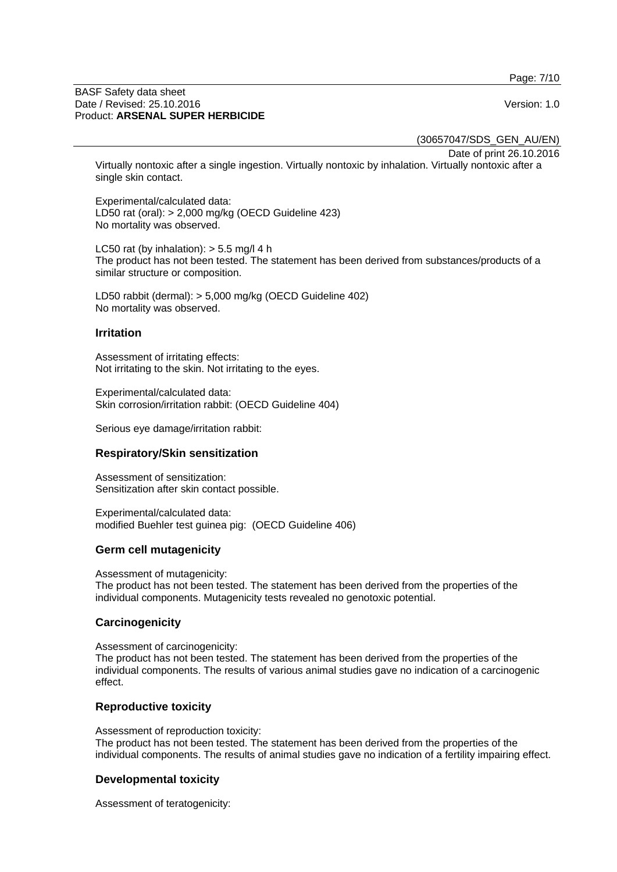Page: 7/10

#### BASF Safety data sheet Date / Revised: 25.10.2016 Version: 1.0 Product: **ARSENAL SUPER HERBICIDE**

(30657047/SDS\_GEN\_AU/EN)

Date of print 26.10.2016

Virtually nontoxic after a single ingestion. Virtually nontoxic by inhalation. Virtually nontoxic after a single skin contact.

Experimental/calculated data: LD50 rat (oral): > 2,000 mg/kg (OECD Guideline 423) No mortality was observed.

LC50 rat (by inhalation):  $> 5.5$  mg/l 4 h The product has not been tested. The statement has been derived from substances/products of a similar structure or composition.

LD50 rabbit (dermal): > 5,000 mg/kg (OECD Guideline 402) No mortality was observed.

## **Irritation**

Assessment of irritating effects: Not irritating to the skin. Not irritating to the eyes.

Experimental/calculated data: Skin corrosion/irritation rabbit: (OECD Guideline 404)

Serious eye damage/irritation rabbit:

## **Respiratory/Skin sensitization**

Assessment of sensitization: Sensitization after skin contact possible.

Experimental/calculated data: modified Buehler test guinea pig: (OECD Guideline 406)

## **Germ cell mutagenicity**

Assessment of mutagenicity:

The product has not been tested. The statement has been derived from the properties of the individual components. Mutagenicity tests revealed no genotoxic potential.

## **Carcinogenicity**

Assessment of carcinogenicity:

The product has not been tested. The statement has been derived from the properties of the individual components. The results of various animal studies gave no indication of a carcinogenic effect.

## **Reproductive toxicity**

Assessment of reproduction toxicity: The product has not been tested. The statement has been derived from the properties of the individual components. The results of animal studies gave no indication of a fertility impairing effect.

## **Developmental toxicity**

Assessment of teratogenicity: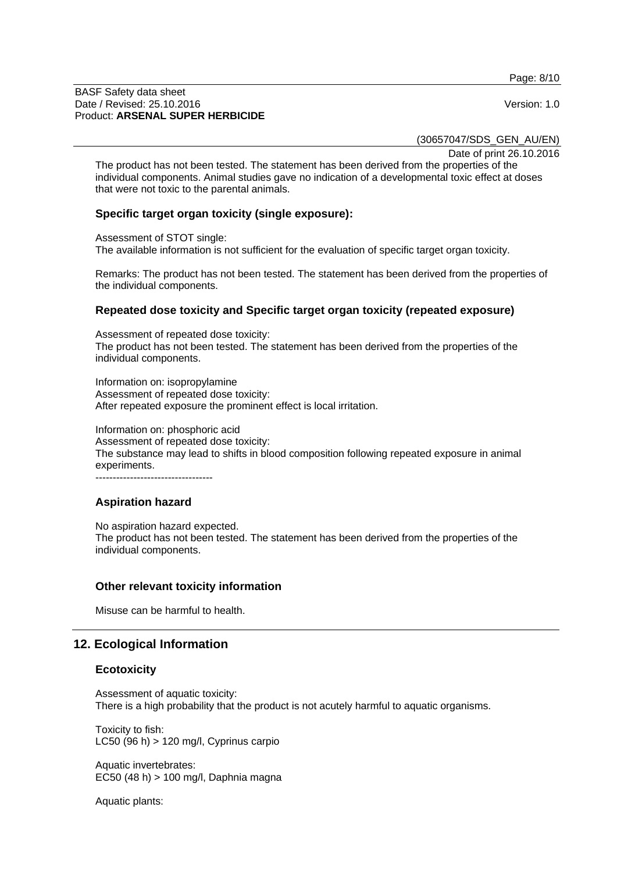Page: 8/10

#### BASF Safety data sheet Date / Revised: 25.10.2016 Version: 1.0 Product: **ARSENAL SUPER HERBICIDE**

(30657047/SDS\_GEN\_AU/EN)

Date of print 26.10.2016

The product has not been tested. The statement has been derived from the properties of the individual components. Animal studies gave no indication of a developmental toxic effect at doses that were not toxic to the parental animals.

## **Specific target organ toxicity (single exposure):**

Assessment of STOT single:

The available information is not sufficient for the evaluation of specific target organ toxicity.

Remarks: The product has not been tested. The statement has been derived from the properties of the individual components.

## **Repeated dose toxicity and Specific target organ toxicity (repeated exposure)**

Assessment of repeated dose toxicity: The product has not been tested. The statement has been derived from the properties of the individual components.

Information on: isopropylamine Assessment of repeated dose toxicity: After repeated exposure the prominent effect is local irritation.

Information on: phosphoric acid Assessment of repeated dose toxicity: The substance may lead to shifts in blood composition following repeated exposure in animal experiments. ----------------------------------

## **Aspiration hazard**

No aspiration hazard expected. The product has not been tested. The statement has been derived from the properties of the individual components.

## **Other relevant toxicity information**

Misuse can be harmful to health.

# **12. Ecological Information**

## **Ecotoxicity**

Assessment of aquatic toxicity: There is a high probability that the product is not acutely harmful to aquatic organisms.

Toxicity to fish: LC50 (96 h) > 120 mg/l, Cyprinus carpio

Aquatic invertebrates: EC50 (48 h) > 100 mg/l, Daphnia magna

Aquatic plants: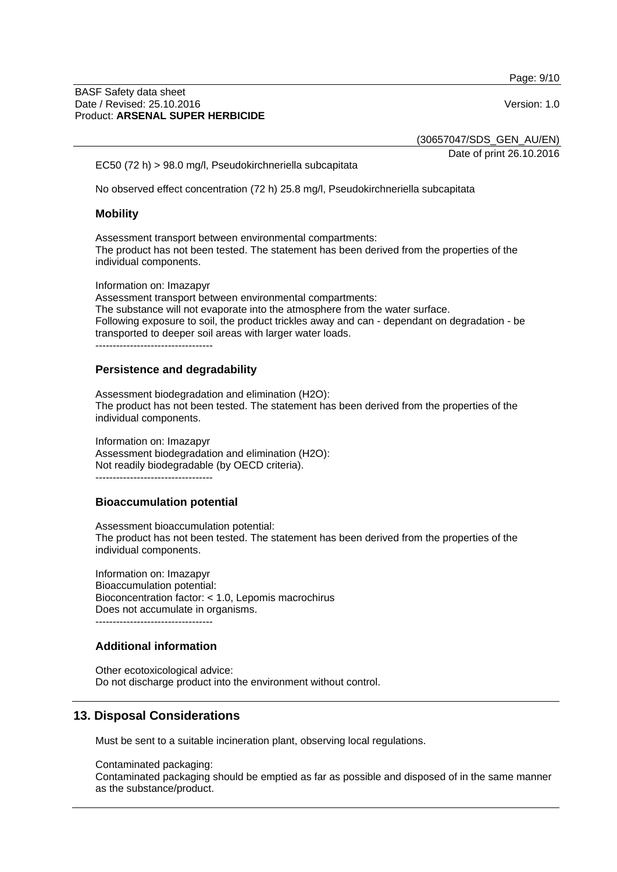Page: 9/10

#### BASF Safety data sheet Date / Revised: 25.10.2016 Version: 1.0 Product: **ARSENAL SUPER HERBICIDE**

(30657047/SDS\_GEN\_AU/EN)

Date of print 26.10.2016

EC50 (72 h) > 98.0 mg/l, Pseudokirchneriella subcapitata

No observed effect concentration (72 h) 25.8 mg/l, Pseudokirchneriella subcapitata

## **Mobility**

Assessment transport between environmental compartments: The product has not been tested. The statement has been derived from the properties of the individual components.

Information on: Imazapyr

Assessment transport between environmental compartments: The substance will not evaporate into the atmosphere from the water surface. Following exposure to soil, the product trickles away and can - dependant on degradation - be transported to deeper soil areas with larger water loads.

----------------------------------

## **Persistence and degradability**

Assessment biodegradation and elimination (H2O): The product has not been tested. The statement has been derived from the properties of the individual components.

Information on: Imazapyr Assessment biodegradation and elimination (H2O): Not readily biodegradable (by OECD criteria). ----------------------------------

## **Bioaccumulation potential**

Assessment bioaccumulation potential: The product has not been tested. The statement has been derived from the properties of the individual components.

Information on: Imazapyr Bioaccumulation potential: Bioconcentration factor: < 1.0, Lepomis macrochirus Does not accumulate in organisms. ----------------------------------

## **Additional information**

Other ecotoxicological advice: Do not discharge product into the environment without control.

# **13. Disposal Considerations**

Must be sent to a suitable incineration plant, observing local regulations.

Contaminated packaging: Contaminated packaging should be emptied as far as possible and disposed of in the same manner as the substance/product.